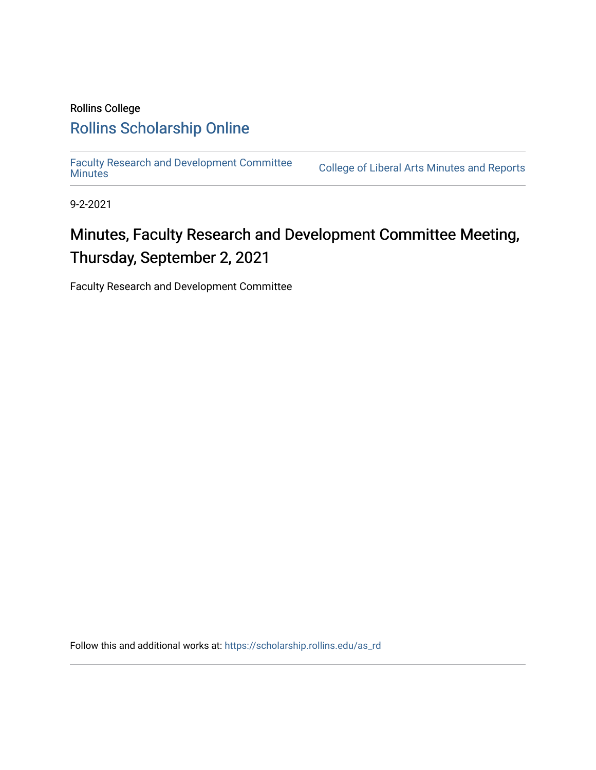## Rollins College [Rollins Scholarship Online](https://scholarship.rollins.edu/)

[Faculty Research and Development Committee](https://scholarship.rollins.edu/as_rd)

College of Liberal Arts [Minutes](https://scholarship.rollins.edu/as_rd) and Reports

9-2-2021

# Minutes, Faculty Research and Development Committee Meeting, Thursday, September 2, 2021

Faculty Research and Development Committee

Follow this and additional works at: [https://scholarship.rollins.edu/as\\_rd](https://scholarship.rollins.edu/as_rd?utm_source=scholarship.rollins.edu%2Fas_rd%2F13&utm_medium=PDF&utm_campaign=PDFCoverPages)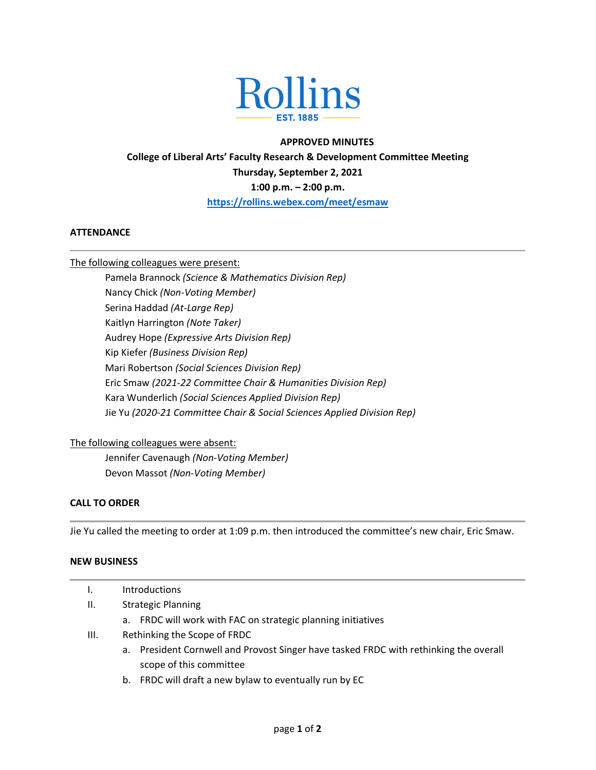

### **APPROVED MINUTES College of Liberal Arts' Faculty Research & Development Committee Meeting Thursday, September 2, 2021 1:00 p.m. – 2:00 p.m. <https://rollins.webex.com/meet/esmaw>**

#### **ATTENDANCE**

The following colleagues were present:

Pamela Brannock *(Science & Mathematics Division Rep)* Nancy Chick *(Non-Voting Member)* Serina Haddad *(At-Large Rep)* Kaitlyn Harrington *(Note Taker)* Audrey Hope *(Expressive Arts Division Rep)* Kip Kiefer *(Business Division Rep)* Mari Robertson *(Social Sciences Division Rep)* Eric Smaw *(2021-22 Committee Chair & Humanities Division Rep)* Kara Wunderlich *(Social Sciences Applied Division Rep)* Jie Yu *(2020-21 Committee Chair & Social Sciences Applied Division Rep)*

#### The following colleagues were absent:

Jennifer Cavenaugh *(Non-Voting Member)* Devon Massot *(Non-Voting Member)*

#### **CALL TO ORDER**

Jie Yu called the meeting to order at 1:09 p.m. then introduced the committee's new chair, Eric Smaw.

#### **NEW BUSINESS**

|      |                              | <b>Introductions</b>                                                                  |
|------|------------------------------|---------------------------------------------------------------------------------------|
| II.  | <b>Strategic Planning</b>    |                                                                                       |
|      |                              | a. FRDC will work with FAC on strategic planning initiatives                          |
| III. | Rethinking the Scope of FRDC |                                                                                       |
|      |                              | a. President Cornwell and Provost Singer have tasked FRDC with rethinking the overall |
|      |                              | scope of this committee                                                               |
|      |                              | b. FRDC will draft a new bylaw to eventually run by EC                                |